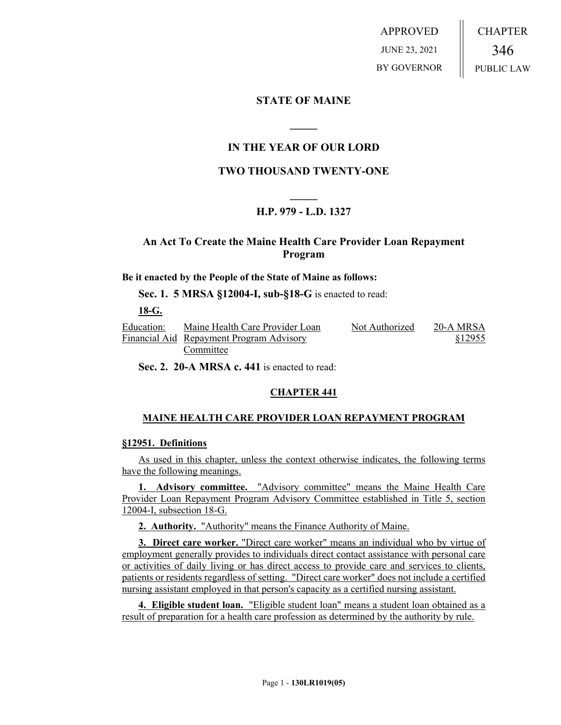APPROVED JUNE 23, 2021 BY GOVERNOR CHAPTER 346 PUBLIC LAW

## **STATE OF MAINE**

## **IN THE YEAR OF OUR LORD**

**\_\_\_\_\_**

# **TWO THOUSAND TWENTY-ONE**

# **\_\_\_\_\_ H.P. 979 - L.D. 1327**

## **An Act To Create the Maine Health Care Provider Loan Repayment Program**

#### **Be it enacted by the People of the State of Maine as follows:**

**Sec. 1. 5 MRSA §12004-I, sub-§18-G** is enacted to read:

**18-G.** 

Education: Financial Aid Repayment Program Advisory Maine Health Care Provider Loan Committee Not Authorized 20-A MRSA §12955

**Sec. 2. 20-A MRSA c. 441** is enacted to read:

#### **CHAPTER 441**

#### **MAINE HEALTH CARE PROVIDER LOAN REPAYMENT PROGRAM**

#### **§12951. Definitions**

As used in this chapter, unless the context otherwise indicates, the following terms have the following meanings.

**1. Advisory committee.** "Advisory committee" means the Maine Health Care Provider Loan Repayment Program Advisory Committee established in Title 5, section 12004-I, subsection 18-G.

**2. Authority.** "Authority" means the Finance Authority of Maine.

**3. Direct care worker.** "Direct care worker" means an individual who by virtue of employment generally provides to individuals direct contact assistance with personal care or activities of daily living or has direct access to provide care and services to clients, patients or residents regardless of setting. "Direct care worker" does not include a certified nursing assistant employed in that person's capacity as a certified nursing assistant.

**4. Eligible student loan.** "Eligible student loan" means a student loan obtained as a result of preparation for a health care profession as determined by the authority by rule.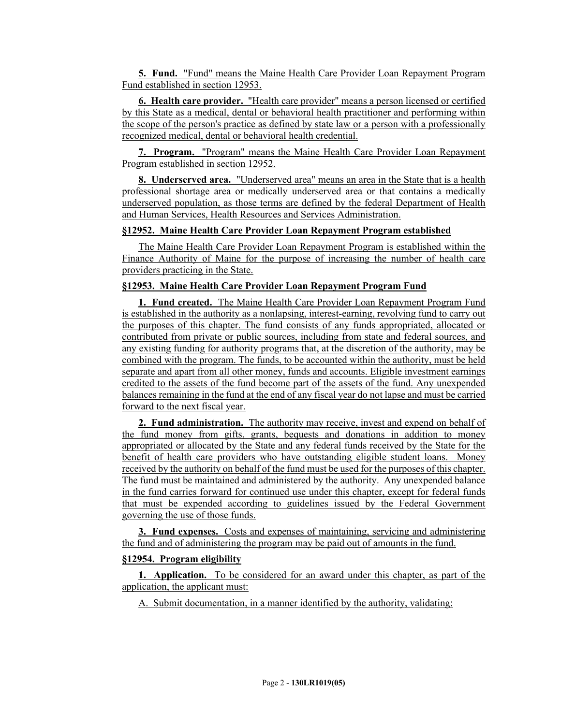**5. Fund.** "Fund" means the Maine Health Care Provider Loan Repayment Program Fund established in section 12953.

**6. Health care provider.** "Health care provider" means a person licensed or certified by this State as a medical, dental or behavioral health practitioner and performing within the scope of the person's practice as defined by state law or a person with a professionally recognized medical, dental or behavioral health credential.

**7. Program.** "Program" means the Maine Health Care Provider Loan Repayment Program established in section 12952.

**8. Underserved area.** "Underserved area" means an area in the State that is a health professional shortage area or medically underserved area or that contains a medically underserved population, as those terms are defined by the federal Department of Health and Human Services, Health Resources and Services Administration.

### **§12952. Maine Health Care Provider Loan Repayment Program established**

The Maine Health Care Provider Loan Repayment Program is established within the Finance Authority of Maine for the purpose of increasing the number of health care providers practicing in the State.

#### **§12953. Maine Health Care Provider Loan Repayment Program Fund**

**1. Fund created.** The Maine Health Care Provider Loan Repayment Program Fund is established in the authority as a nonlapsing, interest-earning, revolving fund to carry out the purposes of this chapter. The fund consists of any funds appropriated, allocated or contributed from private or public sources, including from state and federal sources, and any existing funding for authority programs that, at the discretion of the authority, may be combined with the program. The funds, to be accounted within the authority, must be held separate and apart from all other money, funds and accounts. Eligible investment earnings credited to the assets of the fund become part of the assets of the fund. Any unexpended balances remaining in the fund at the end of any fiscal year do not lapse and must be carried forward to the next fiscal year.

**2. Fund administration.** The authority may receive, invest and expend on behalf of the fund money from gifts, grants, bequests and donations in addition to money appropriated or allocated by the State and any federal funds received by the State for the benefit of health care providers who have outstanding eligible student loans. Money received by the authority on behalf of the fund must be used for the purposes of this chapter. The fund must be maintained and administered by the authority. Any unexpended balance in the fund carries forward for continued use under this chapter, except for federal funds that must be expended according to guidelines issued by the Federal Government governing the use of those funds.

**3. Fund expenses.** Costs and expenses of maintaining, servicing and administering the fund and of administering the program may be paid out of amounts in the fund.

### **§12954. Program eligibility**

**1. Application.** To be considered for an award under this chapter, as part of the application, the applicant must:

A. Submit documentation, in a manner identified by the authority, validating: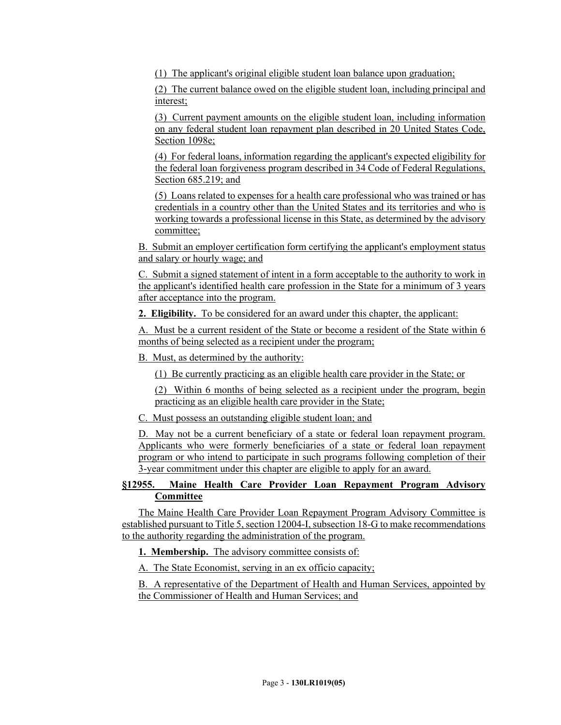(1) The applicant's original eligible student loan balance upon graduation;

(2) The current balance owed on the eligible student loan, including principal and interest;

(3) Current payment amounts on the eligible student loan, including information on any federal student loan repayment plan described in 20 United States Code, Section 1098e;

(4) For federal loans, information regarding the applicant's expected eligibility for the federal loan forgiveness program described in 34 Code of Federal Regulations, Section 685.219; and

(5) Loans related to expenses for a health care professional who was trained or has credentials in a country other than the United States and its territories and who is working towards a professional license in this State, as determined by the advisory committee;

B. Submit an employer certification form certifying the applicant's employment status and salary or hourly wage; and

C. Submit a signed statement of intent in a form acceptable to the authority to work in the applicant's identified health care profession in the State for a minimum of 3 years after acceptance into the program.

**2. Eligibility.** To be considered for an award under this chapter, the applicant:

A. Must be a current resident of the State or become a resident of the State within 6 months of being selected as a recipient under the program;

B. Must, as determined by the authority:

(1) Be currently practicing as an eligible health care provider in the State; or

(2) Within 6 months of being selected as a recipient under the program, begin practicing as an eligible health care provider in the State;

C. Must possess an outstanding eligible student loan; and

D. May not be a current beneficiary of a state or federal loan repayment program. Applicants who were formerly beneficiaries of a state or federal loan repayment program or who intend to participate in such programs following completion of their 3-year commitment under this chapter are eligible to apply for an award.

## **§12955. Maine Health Care Provider Loan Repayment Program Advisory Committee**

The Maine Health Care Provider Loan Repayment Program Advisory Committee is established pursuant to Title 5, section 12004-I, subsection 18-G to make recommendations to the authority regarding the administration of the program.

**1. Membership.** The advisory committee consists of:

A. The State Economist, serving in an ex officio capacity;

B. A representative of the Department of Health and Human Services, appointed by the Commissioner of Health and Human Services; and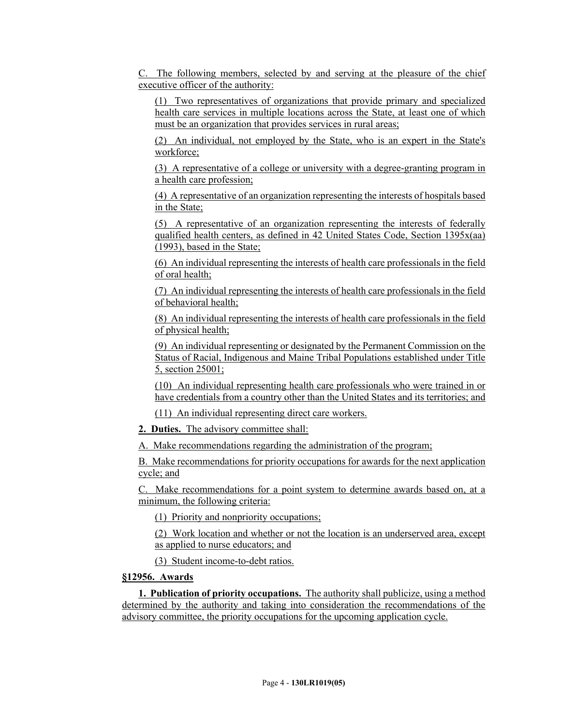C. The following members, selected by and serving at the pleasure of the chief executive officer of the authority:

(1) Two representatives of organizations that provide primary and specialized health care services in multiple locations across the State, at least one of which must be an organization that provides services in rural areas;

(2) An individual, not employed by the State, who is an expert in the State's workforce;

(3) A representative of a college or university with a degree-granting program in a health care profession;

(4) A representative of an organization representing the interests of hospitals based in the State;

(5) A representative of an organization representing the interests of federally qualified health centers, as defined in 42 United States Code, Section  $1395x(aa)$ (1993), based in the State;

(6) An individual representing the interests of health care professionals in the field of oral health;

(7) An individual representing the interests of health care professionals in the field of behavioral health;

(8) An individual representing the interests of health care professionals in the field of physical health;

(9) An individual representing or designated by the Permanent Commission on the Status of Racial, Indigenous and Maine Tribal Populations established under Title 5, section 25001;

(10) An individual representing health care professionals who were trained in or have credentials from a country other than the United States and its territories; and

(11) An individual representing direct care workers.

**2. Duties.** The advisory committee shall:

A. Make recommendations regarding the administration of the program;

B. Make recommendations for priority occupations for awards for the next application cycle; and

C. Make recommendations for a point system to determine awards based on, at a minimum, the following criteria:

(1) Priority and nonpriority occupations;

(2) Work location and whether or not the location is an underserved area, except as applied to nurse educators; and

(3) Student income-to-debt ratios.

## **§12956. Awards**

**1. Publication of priority occupations.** The authority shall publicize, using a method determined by the authority and taking into consideration the recommendations of the advisory committee, the priority occupations for the upcoming application cycle.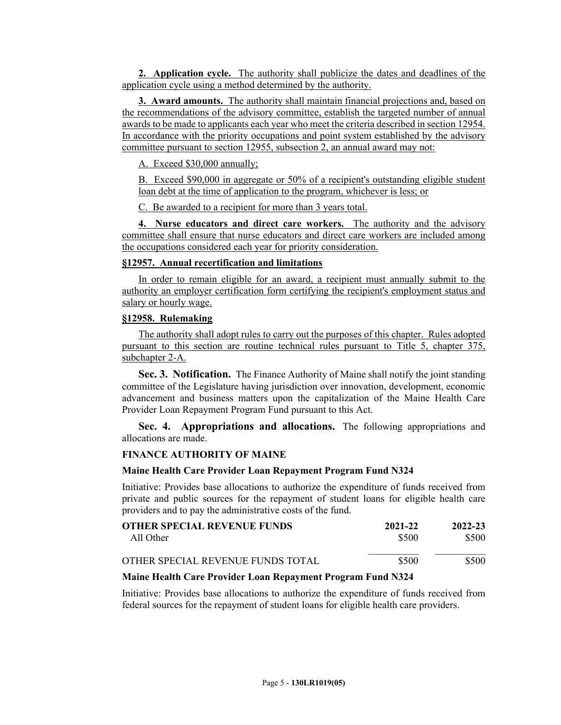**2. Application cycle.** The authority shall publicize the dates and deadlines of the application cycle using a method determined by the authority.

**3. Award amounts.** The authority shall maintain financial projections and, based on the recommendations of the advisory committee, establish the targeted number of annual awards to be made to applicants each year who meet the criteria described in section 12954. In accordance with the priority occupations and point system established by the advisory committee pursuant to section 12955, subsection 2, an annual award may not:

A. Exceed \$30,000 annually;

B. Exceed \$90,000 in aggregate or 50% of a recipient's outstanding eligible student loan debt at the time of application to the program, whichever is less; or

C. Be awarded to a recipient for more than 3 years total.

**4. Nurse educators and direct care workers.** The authority and the advisory committee shall ensure that nurse educators and direct care workers are included among the occupations considered each year for priority consideration.

#### **§12957. Annual recertification and limitations**

In order to remain eligible for an award, a recipient must annually submit to the authority an employer certification form certifying the recipient's employment status and salary or hourly wage.

### **§12958. Rulemaking**

The authority shall adopt rules to carry out the purposes of this chapter. Rules adopted pursuant to this section are routine technical rules pursuant to Title 5, chapter 375, subchapter 2-A.

**Sec. 3. Notification.** The Finance Authority of Maine shall notify the joint standing committee of the Legislature having jurisdiction over innovation, development, economic advancement and business matters upon the capitalization of the Maine Health Care Provider Loan Repayment Program Fund pursuant to this Act.

**Sec. 4. Appropriations and allocations.** The following appropriations and allocations are made.

#### **FINANCE AUTHORITY OF MAINE**

#### **Maine Health Care Provider Loan Repayment Program Fund N324**

Initiative: Provides base allocations to authorize the expenditure of funds received from private and public sources for the repayment of student loans for eligible health care providers and to pay the administrative costs of the fund.

| <b>OTHER SPECIAL REVENUE FUNDS</b> | 2021-22 | 2022-23 |
|------------------------------------|---------|---------|
| All Other                          | \$500   | \$500   |
| OTHER SPECIAL REVENUE FUNDS TOTAL  | \$500   | \$500   |

#### **Maine Health Care Provider Loan Repayment Program Fund N324**

Initiative: Provides base allocations to authorize the expenditure of funds received from federal sources for the repayment of student loans for eligible health care providers.